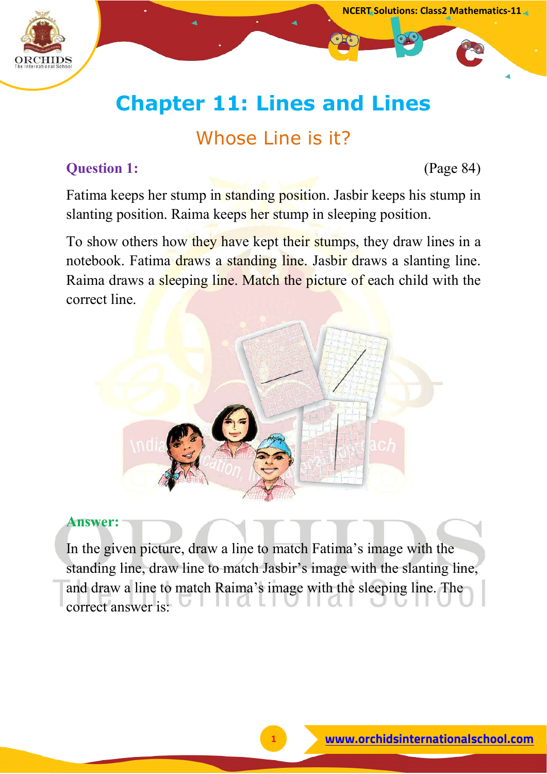

# **Chapter 11: Lines and Lines**

# Whose Line is it?

# **Question 1:** (Page 84)

Fatima keeps her stump in standing position. Jasbir keeps his stump in slanting position. Raima keeps her stump in sleeping position.

To show others how they have kept their stumps, they draw lines in a notebook. Fatima draws a standing line. Jasbir draws a slanting line. Raima draws a sleeping line. Match the picture of each child with the correct line.



### **Answer:**

In the given picture, draw a line to match Fatima's image with the standing line, draw line to match Jasbir's image with the slanting line, and draw a line to match Raima's image with the sleeping line. The correct answer is: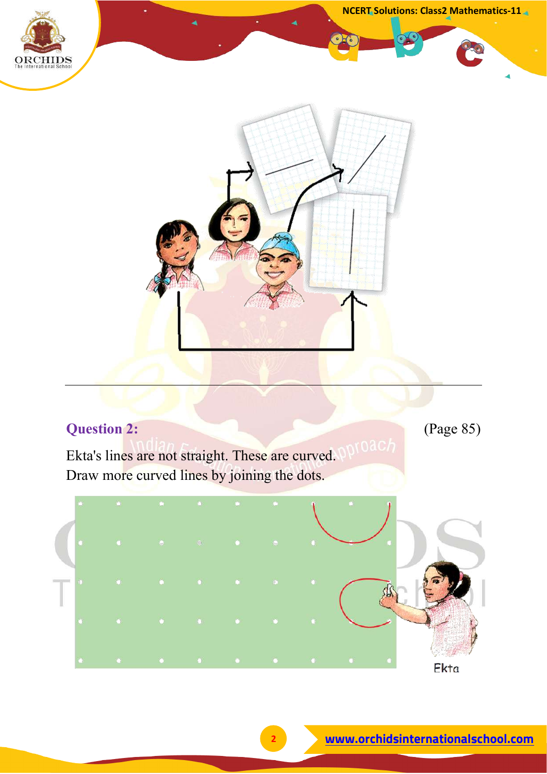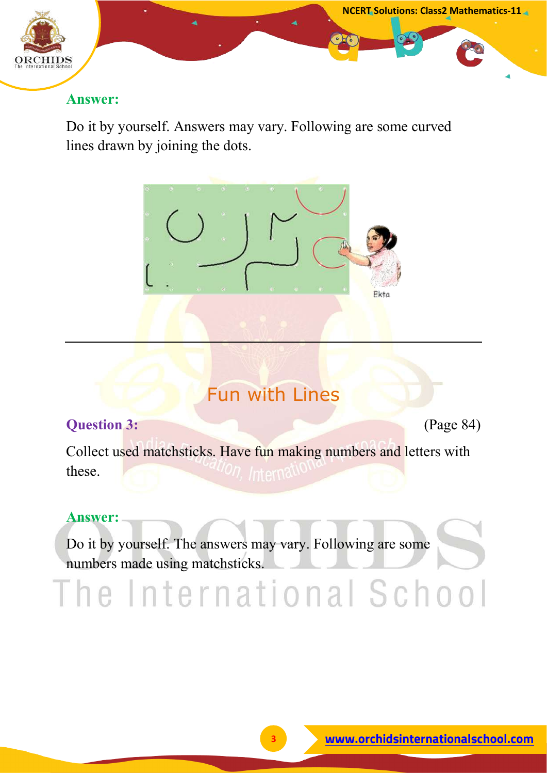

Do it by yourself. Answers may vary. Following are some curved lines drawn by joining the dots.



# Fun with Lines

# **Question 3:** (Page 84)

**NCERT Solutions: Class2 Mathematics-11**

Collect used matchsticks. Have fun making numbers and letters with these.

# **Answer:**

Do it by yourself. The answers may vary. Following are some numbers made using matchsticks.

The International School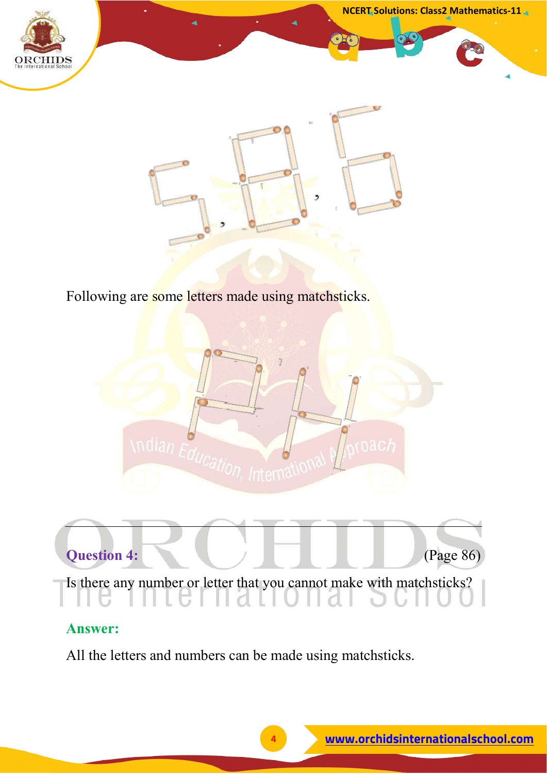



Following are some letters made using matchsticks.





# **Answer:**

All the letters and numbers can be made using matchsticks.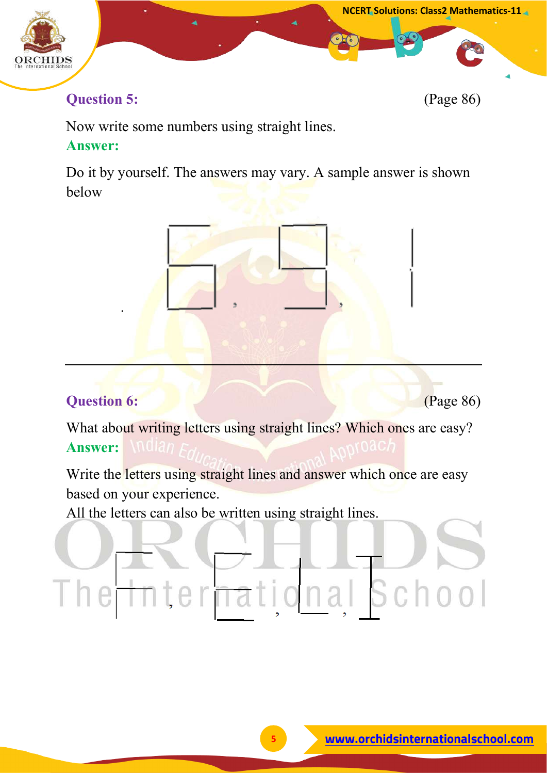

# **Question 5:** (Page 86)

Now write some numbers using straight lines. **Answer:**

Do it by yourself. The answers may vary. A sample answer is shown below



# **Question 6:** *Cage 86 Cage 86 Cage 86 Cage 86 Cage 86 Cage 86 Cage 86 Cage 86 Cage 86 Cage 86 Cage 86 Cage 86 Cage 86 Cage 86 Cage 86 Cage 86 Cage 86 Ca*

.

What about writing letters using straight lines? Which ones are easy? **Answer:**

Write the letters using straight lines and answer which once are easy based on your experience.

All the letters can also be written using straight lines.

# onal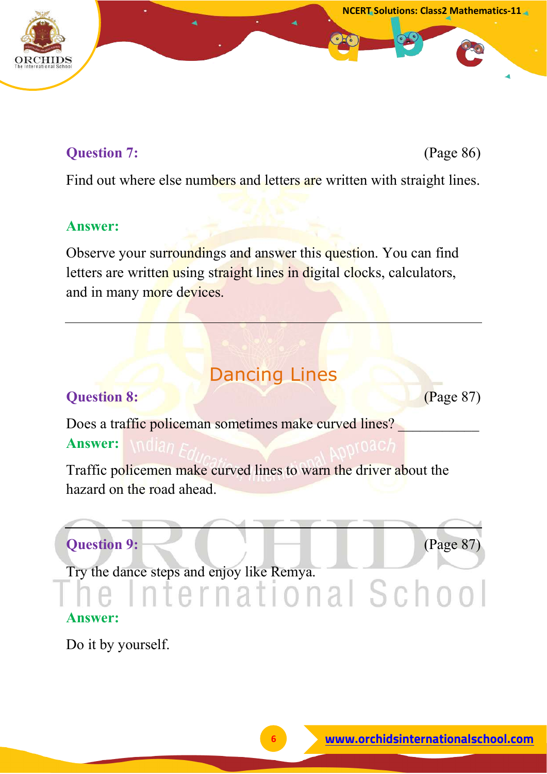# **Question 7:** (Page 86)

Find out where else numbers and letters are written with straight lines.

### **Answer:**

Observe your surroundings and answer this question. You can find letters are written using straight lines in digital clocks, calculators, and in many more devices.

# Dancing Lines

## **Question 8: CONSIDERED ACCESS** (Page 87)

Does a traffic policeman sometimes make curved lines? **Answer:**

Traffic policemen make curved lines to warn the driver about the hazard on the road ahead.

# **Question 9: Constant Constant Constant Constant Constant Constant Constant Constant Constant Constant Constant Constant Constant Constant Constant Constant Constant Constant Constant Constant Constant Constant Constant**

Try the dance steps and enjoy like Remya.<br> **COMPLICION AND SCOOL** 

## **Answer:**

Do it by yourself.

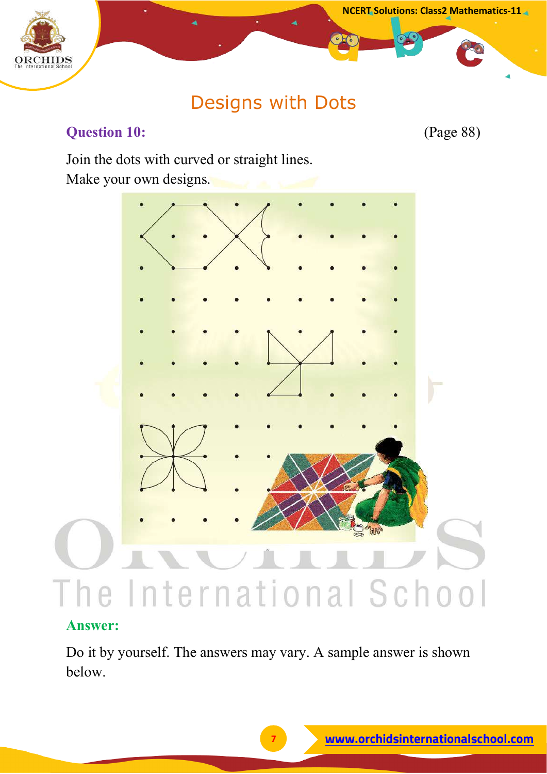



# Designs with Dots

# **Question 10:** (Page 88)

Join the dots with curved or straight lines. Make your own designs.



### **Answer:**

Do it by yourself. The answers may vary. A sample answer is shown below.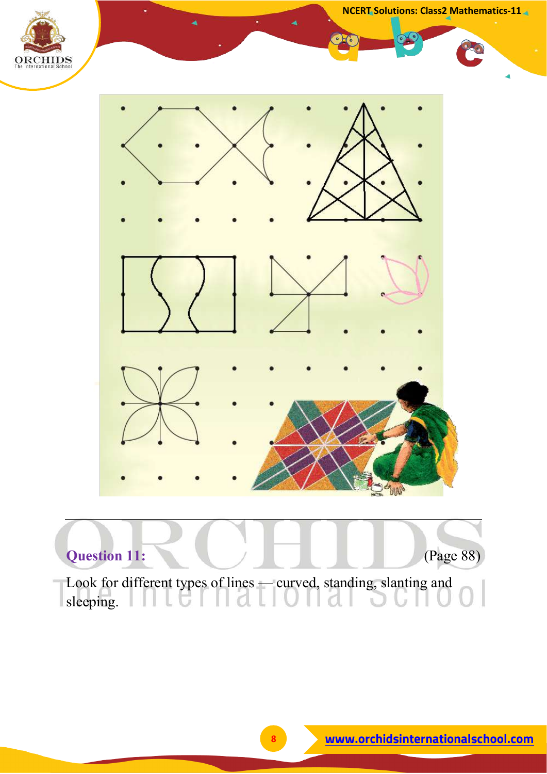



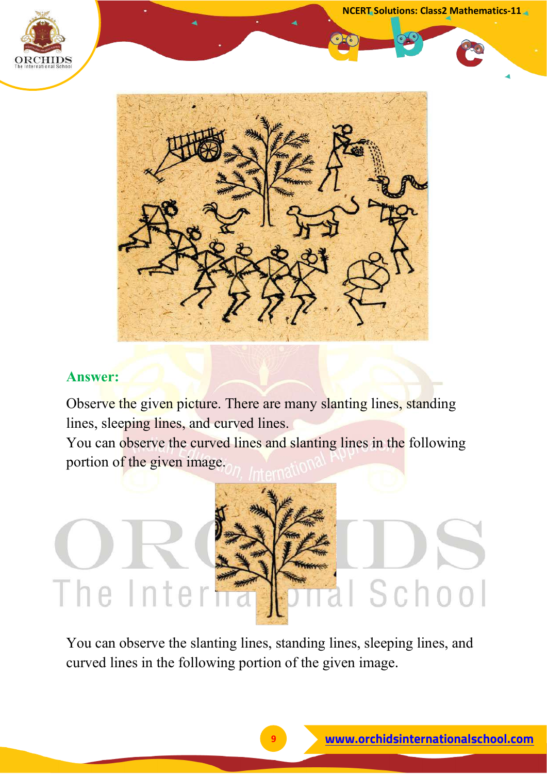

**NCERT Solutions: Class2 Mathematics-11**



### **Answer:**

Observe the given picture. There are many slanting lines, standing lines, sleeping lines, and curved lines.

You can observe the curved lines and slanting lines in the following portion of the given image.

# School The Inter

You can observe the slanting lines, standing lines, sleeping lines, and curved lines in the following portion of the given image.